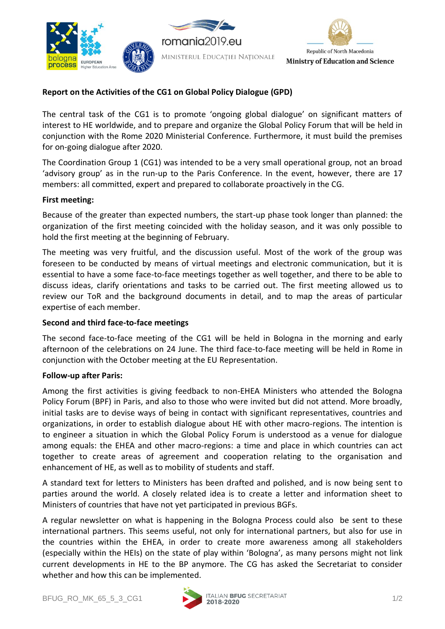





# **Report on the Activities of the CG1 on Global Policy Dialogue (GPD)**

The central task of the CG1 is to promote 'ongoing global dialogue' on significant matters of interest to HE worldwide, and to prepare and organize the Global Policy Forum that will be held in conjunction with the Rome 2020 Ministerial Conference. Furthermore, it must build the premises for on-going dialogue after 2020.

The Coordination Group 1 (CG1) was intended to be a very small operational group, not an broad 'advisory group' as in the run-up to the Paris Conference. In the event, however, there are 17 members: all committed, expert and prepared to collaborate proactively in the CG.

### **First meeting:**

Because of the greater than expected numbers, the start-up phase took longer than planned: the organization of the first meeting coincided with the holiday season, and it was only possible to hold the first meeting at the beginning of February.

The meeting was very fruitful, and the discussion useful. Most of the work of the group was foreseen to be conducted by means of virtual meetings and electronic communication, but it is essential to have a some face-to-face meetings together as well together, and there to be able to discuss ideas, clarify orientations and tasks to be carried out. The first meeting allowed us to review our ToR and the background documents in detail, and to map the areas of particular expertise of each member.

## **Second and third face-to-face meetings**

The second face-to-face meeting of the CG1 will be held in Bologna in the morning and early afternoon of the celebrations on 24 June. The third face-to-face meeting will be held in Rome in conjunction with the October meeting at the EU Representation.

#### **Follow-up after Paris:**

Among the first activities is giving feedback to non-EHEA Ministers who attended the Bologna Policy Forum (BPF) in Paris, and also to those who were invited but did not attend. More broadly, initial tasks are to devise ways of being in contact with significant representatives, countries and organizations, in order to establish dialogue about HE with other macro-regions. The intention is to engineer a situation in which the Global Policy Forum is understood as a venue for dialogue among equals: the EHEA and other macro-regions: a time and place in which countries can act together to create areas of agreement and cooperation relating to the organisation and enhancement of HE, as well as to mobility of students and staff.

A standard text for letters to Ministers has been drafted and polished, and is now being sent to parties around the world. A closely related idea is to create a letter and information sheet to Ministers of countries that have not yet participated in previous BGFs.

A regular newsletter on what is happening in the Bologna Process could also be sent to these international partners. This seems useful, not only for international partners, but also for use in the countries within the EHEA, in order to create more awareness among all stakeholders (especially within the HEIs) on the state of play within 'Bologna', as many persons might not link current developments in HE to the BP anymore. The CG has asked the Secretariat to consider whether and how this can be implemented.